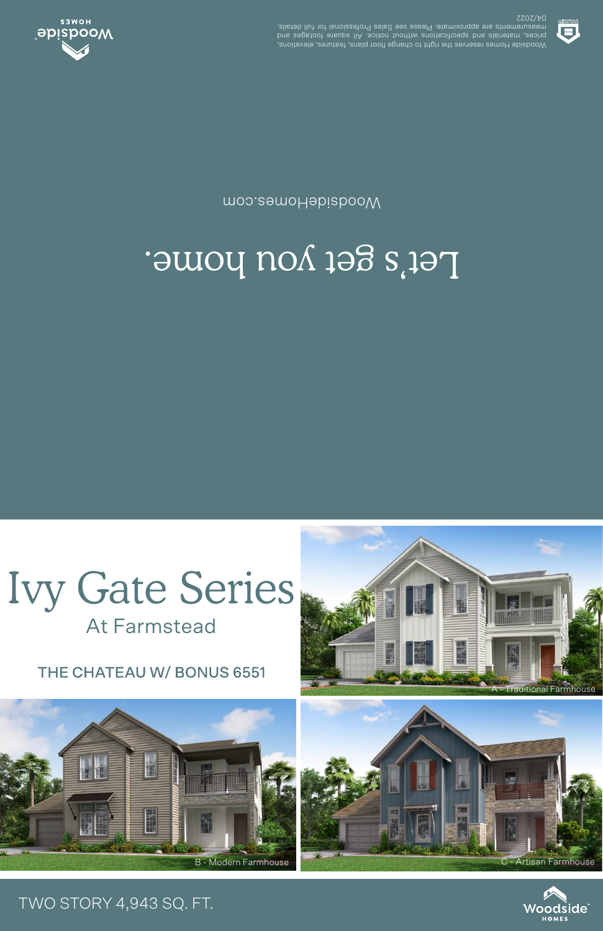

## Let's get you home.

moo.eamoHabizbooW



04/2022 .elisteb llut tot lanoiszetor9 zels2 ees essel9 .etamixotqqs ets stnemetussem prices, materials and specifications unditional notice. All susue one section Woodside Homes reserves the right to change floor plans, features, elevations,



## TWO STORY 4,943 SQ. FT.